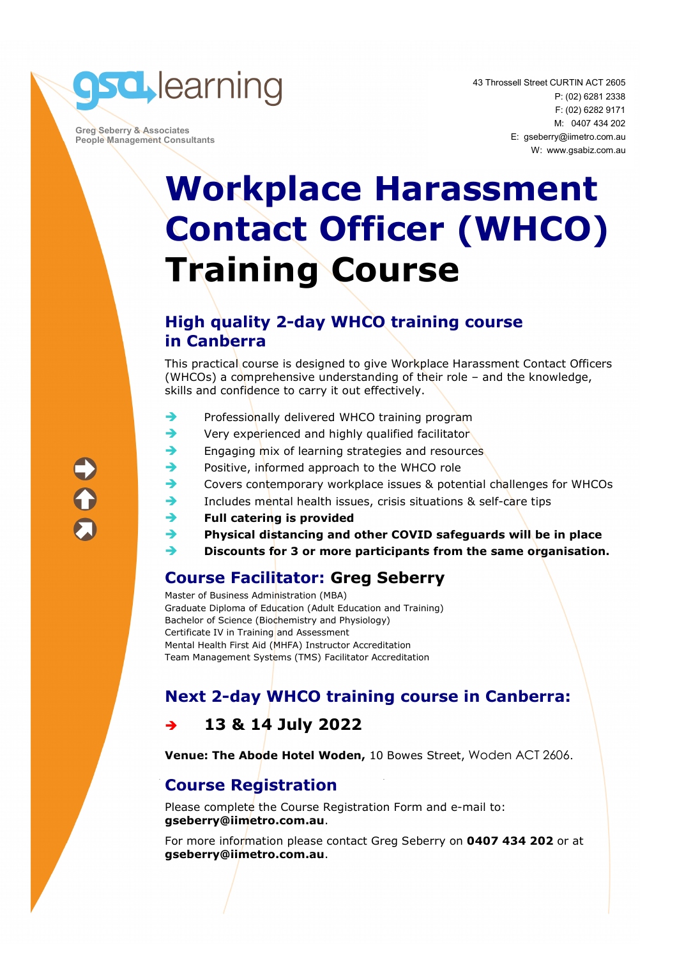

 **Greg Seberry & Associates People Management Consultants**  43 Throssell Street CURTIN ACT 2605 P: (02) 6281 2338 F: (02) 6282 9171 M: 0407 434 202 E: gseberry@iimetro.com.au W: www.gsabiz.com.au

## **Workplace Harassment Contact Officer (WHCO) Training Course**

#### **High quality 2-day WHCO training course in Canberra**

This practical course is designed to give Workplace Harassment Contact Officers (WHCOs) a comprehensive understanding of their role – and the knowledge, skills and confidence to carry it out effectively.

- $\rightarrow$  Professionally delivered WHCO training program
- Very experienced and highly qualified facilitator
- Engaging mix of learning strategies and resources
- Positive, informed approach to the WHCO role
- Covers contemporary workplace issues & potential challenges for WHCOs
- Includes mental health issues, crisis situations & self-care tips
- **Full catering is provided**
- **Physical distancing and other COVID safeguards will be in place**
- **Discounts for 3 or more participants from the same organisation.**

### **Course Facilitator: Greg Seberry**

Master of Business Administration (MBA) Graduate Diploma of Education (Adult Education and Training) Bachelor of Science (Biochemistry and Physiology) Certificate IV in Training and Assessment Mental Health First Aid (MHFA) Instructor Accreditation Team Management Systems (TMS) Facilitator Accreditation

### **Next 2-day WHCO training course in Canberra:**

### **13 & 14 July 2022**

**Venue: The Abode Hotel Woden,** 10 Bowes Street, Woden ACT 2606.

### **Course Registration**

Please complete the Course Registration Form and e-mail to: **gseberry@iimetro.com.au**.

For more information please contact Greg Seberry on **0407 434 202** or at **gseberry@iimetro.com.au**.